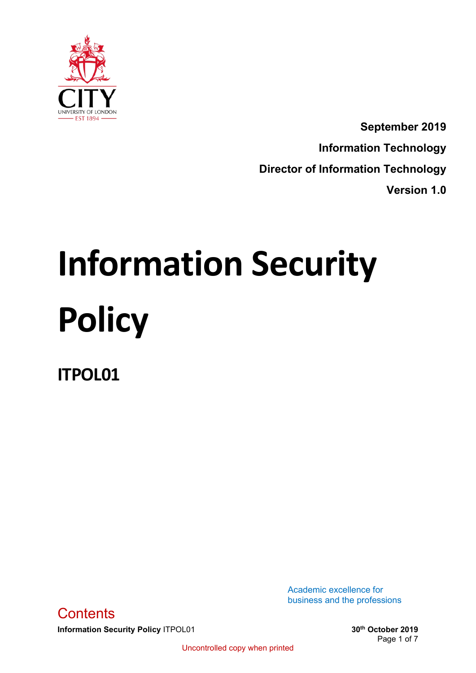

**September 2019 Information Technology Director of Information Technology Version 1.0**

# **Information Security Policy**

**ITPOL01**

<span id="page-0-0"></span>**Information Security Policy** ITPOL01 **30th 30th 30th October 2019 Contents** 

Academic excellence for business and the professions

Page 1 of 7

Uncontrolled copy when printed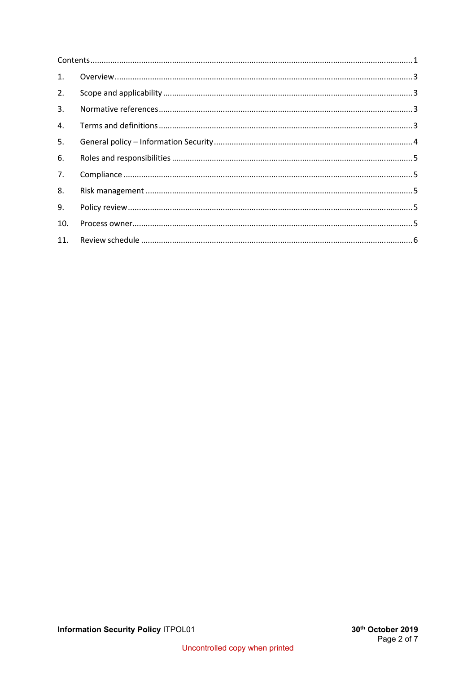| $\mathbf{1}$ . |  |
|----------------|--|
| 2.             |  |
| 3.             |  |
| 4.             |  |
| 5.             |  |
| 6.             |  |
| 7.             |  |
| 8.             |  |
| 9.             |  |
| 10.            |  |
| 11.            |  |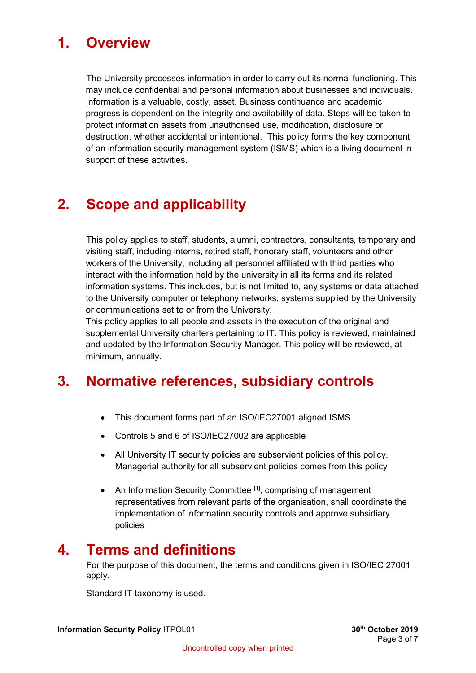## <span id="page-2-0"></span>**1. Overview**

The University processes information in order to carry out its normal functioning. This may include confidential and personal information about businesses and individuals. Information is a valuable, costly, asset. Business continuance and academic progress is dependent on the integrity and availability of data. Steps will be taken to protect information assets from unauthorised use, modification, disclosure or destruction, whether accidental or intentional. This policy forms the key component of an information security management system (ISMS) which is a living document in support of these activities.

## <span id="page-2-1"></span>**2. Scope and applicability**

This policy applies to staff, students, alumni, contractors, consultants, temporary and visiting staff, including interns, retired staff, honorary staff, volunteers and other workers of the University, including all personnel affiliated with third parties who interact with the information held by the university in all its forms and its related information systems. This includes, but is not limited to, any systems or data attached to the University computer or telephony networks, systems supplied by the University or communications set to or from the University.

This policy applies to all people and assets in the execution of the original and supplemental University charters pertaining to IT. This policy is reviewed, maintained and updated by the Information Security Manager. This policy will be reviewed, at minimum, annually.

## <span id="page-2-2"></span>**3. Normative references, subsidiary controls**

- This document forms part of an ISO/IEC27001 aligned ISMS
- Controls 5 and 6 of ISO/IEC27002 are applicable
- All University IT security policies are subservient policies of this policy. Managerial authority for all subservient policies comes from this policy
- An Information Security Committee [1], comprising of management representatives from relevant parts of the organisation, shall coordinate the implementation of information security controls and approve subsidiary policies

## <span id="page-2-3"></span>**4. Terms and definitions**

For the purpose of this document, the terms and conditions given in ISO/IEC 27001 apply.

Standard IT taxonomy is used.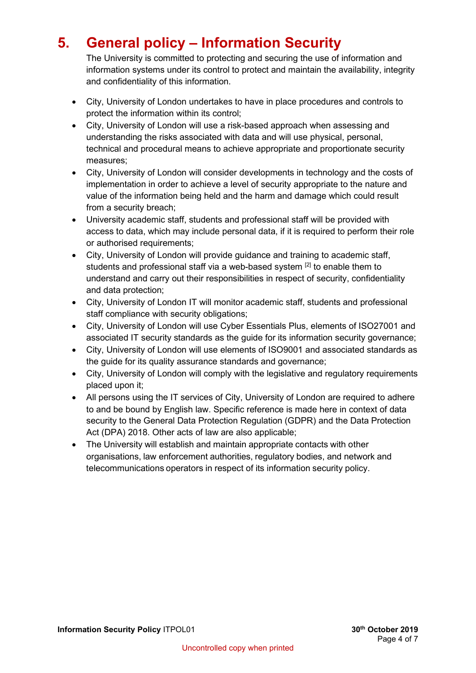# <span id="page-3-0"></span>**5. General policy – Information Security**

The University is committed to protecting and securing the use of information and information systems under its control to protect and maintain the availability, integrity and confidentiality of this information.

- City, University of London undertakes to have in place procedures and controls to protect the information within its control;
- City, University of London will use a risk-based approach when assessing and understanding the risks associated with data and will use physical, personal, technical and procedural means to achieve appropriate and proportionate security measures;
- City, University of London will consider developments in technology and the costs of implementation in order to achieve a level of security appropriate to the nature and value of the information being held and the harm and damage which could result from a security breach;
- University academic staff, students and professional staff will be provided with access to data, which may include personal data, if it is required to perform their role or authorised requirements;
- City, University of London will provide guidance and training to academic staff, students and professional staff via a web-based system [2] to enable them to understand and carry out their responsibilities in respect of security, confidentiality and data protection;
- City, University of London IT will monitor academic staff, students and professional staff compliance with security obligations;
- City, University of London will use Cyber Essentials Plus, elements of ISO27001 and associated IT security standards as the guide for its information security governance;
- City, University of London will use elements of ISO9001 and associated standards as the guide for its quality assurance standards and governance;
- City, University of London will comply with the legislative and regulatory requirements placed upon it;
- All persons using the IT services of City, University of London are required to adhere to and be bound by English law. Specific reference is made here in context of data security to the General Data Protection Regulation (GDPR) and the Data Protection Act (DPA) 2018. Other acts of law are also applicable;
- The University will establish and maintain appropriate contacts with other organisations, law enforcement authorities, regulatory bodies, and network and telecommunications operators in respect of its information security policy.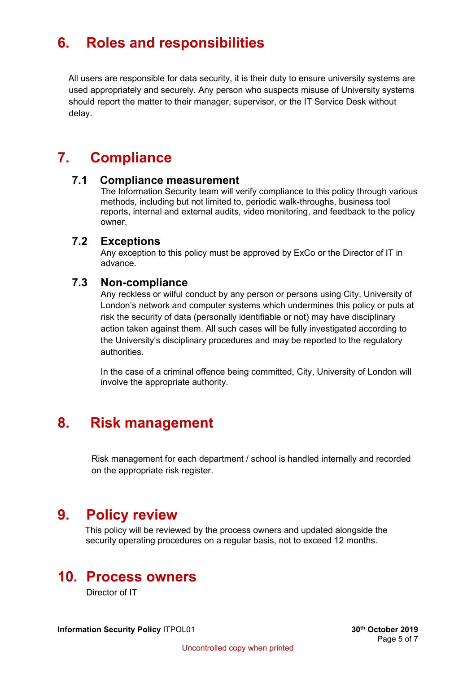# <span id="page-4-0"></span>**6. Roles and responsibilities**

All users are responsible for data security, it is their duty to ensure university systems are used appropriately and securely. Any person who suspects misuse of University systems should report the matter to their manager, supervisor, or the IT Service Desk without delay.

# <span id="page-4-1"></span>**7. Compliance**

#### **7.1 Compliance measurement**

The Information Security team will verify compliance to this policy through various methods, including but not limited to, periodic walk-throughs, business tool reports, internal and external audits, video monitoring, and feedback to the policy owner.

#### **7.2 Exceptions**

Any exception to this policy must be approved by ExCo or the Director of IT in advance.

#### **7.3 Non-compliance**

Any reckless or wilful conduct by any person or persons using City, University of London's network and computer systems which undermines this policy or puts at risk the security of data (personally identifiable or not) may have disciplinary action taken against them. All such cases will be fully investigated according to the University's disciplinary procedures and may be reported to the regulatory authorities.

In the case of a criminal offence being committed, City, University of London will involve the appropriate authority.

## <span id="page-4-2"></span>**8. Risk management**

Risk management for each department / school is handled internally and recorded on the appropriate risk register.

## <span id="page-4-3"></span>**9. Policy review**

 This policy will be reviewed by the process owners and updated alongside the security operating procedures on a regular basis, not to exceed 12 months.

## <span id="page-4-4"></span>**10. Process owners**

Director of IT

**Information Security Policy** ITPOL01 **30th 30th 30th October 2019**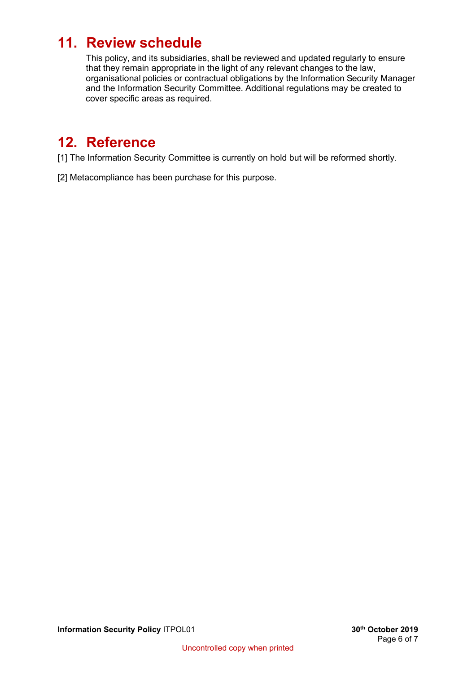# <span id="page-5-0"></span>**11. Review schedule**

This policy, and its subsidiaries, shall be reviewed and updated regularly to ensure that they remain appropriate in the light of any relevant changes to the law, organisational policies or contractual obligations by the Information Security Manager and the Information Security Committee. Additional regulations may be created to cover specific areas as required.

# **12. Reference**

[1] The Information Security Committee is currently on hold but will be reformed shortly.

[2] Metacompliance has been purchase for this purpose.